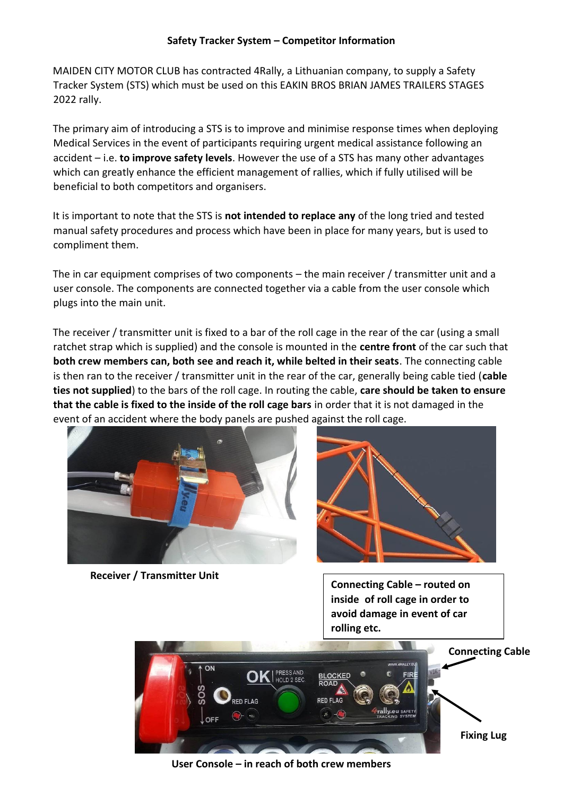## **Safety Tracker System – Competitor Information**

MAIDEN CITY MOTOR CLUB has contracted 4Rally, a Lithuanian company, to supply a Safety Tracker System (STS) which must be used on this EAKIN BROS BRIAN JAMES TRAILERS STAGES 2022 rally.

The primary aim of introducing a STS is to improve and minimise response times when deploying Medical Services in the event of participants requiring urgent medical assistance following an accident – i.e. **to improve safety levels**. However the use of a STS has many other advantages which can greatly enhance the efficient management of rallies, which if fully utilised will be beneficial to both competitors and organisers.

It is important to note that the STS is **not intended to replace any** of the long tried and tested manual safety procedures and process which have been in place for many years, but is used to compliment them.

The in car equipment comprises of two components – the main receiver / transmitter unit and a user console. The components are connected together via a cable from the user console which plugs into the main unit.

The receiver / transmitter unit is fixed to a bar of the roll cage in the rear of the car (using a small ratchet strap which is supplied) and the console is mounted in the **centre front** of the car such that **both crew members can, both see and reach it, while belted in their seats**. The connecting cable is then ran to the receiver / transmitter unit in the rear of the car, generally being cable tied (**cable ties not supplied**) to the bars of the roll cage. In routing the cable, **care should be taken to ensure that the cable is fixed to the inside of the roll cage bars** in order that it is not damaged in the event of an accident where the body panels are pushed against the roll cage.



**Receiver / Transmitter Unit** 



**Connecting Cable – routed on inside of roll cage in order to avoid damage in event of car rolling etc.**



**User Console – in reach of both crew members**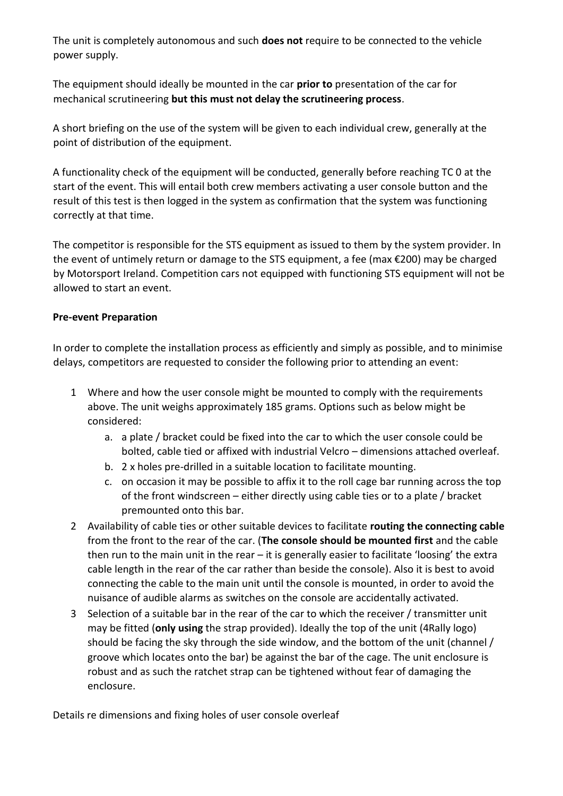The unit is completely autonomous and such **does not** require to be connected to the vehicle power supply.

The equipment should ideally be mounted in the car **prior to** presentation of the car for mechanical scrutineering **but this must not delay the scrutineering process**.

A short briefing on the use of the system will be given to each individual crew, generally at the point of distribution of the equipment.

A functionality check of the equipment will be conducted, generally before reaching TC 0 at the start of the event. This will entail both crew members activating a user console button and the result of this test is then logged in the system as confirmation that the system was functioning correctly at that time.

The competitor is responsible for the STS equipment as issued to them by the system provider. In the event of untimely return or damage to the STS equipment, a fee (max €200) may be charged by Motorsport Ireland. Competition cars not equipped with functioning STS equipment will not be allowed to start an event.

## **Pre-event Preparation**

In order to complete the installation process as efficiently and simply as possible, and to minimise delays, competitors are requested to consider the following prior to attending an event:

- 1 Where and how the user console might be mounted to comply with the requirements above. The unit weighs approximately 185 grams. Options such as below might be considered:
	- a. a plate / bracket could be fixed into the car to which the user console could be bolted, cable tied or affixed with industrial Velcro – dimensions attached overleaf.
	- b. 2 x holes pre-drilled in a suitable location to facilitate mounting.
	- c. on occasion it may be possible to affix it to the roll cage bar running across the top of the front windscreen – either directly using cable ties or to a plate / bracket premounted onto this bar.
- 2 Availability of cable ties or other suitable devices to facilitate **routing the connecting cable** from the front to the rear of the car. (**The console should be mounted first** and the cable then run to the main unit in the rear – it is generally easier to facilitate 'loosing' the extra cable length in the rear of the car rather than beside the console). Also it is best to avoid connecting the cable to the main unit until the console is mounted, in order to avoid the nuisance of audible alarms as switches on the console are accidentally activated.
- 3 Selection of a suitable bar in the rear of the car to which the receiver / transmitter unit may be fitted (**only using** the strap provided). Ideally the top of the unit (4Rally logo) should be facing the sky through the side window, and the bottom of the unit (channel / groove which locates onto the bar) be against the bar of the cage. The unit enclosure is robust and as such the ratchet strap can be tightened without fear of damaging the enclosure.

Details re dimensions and fixing holes of user console overleaf